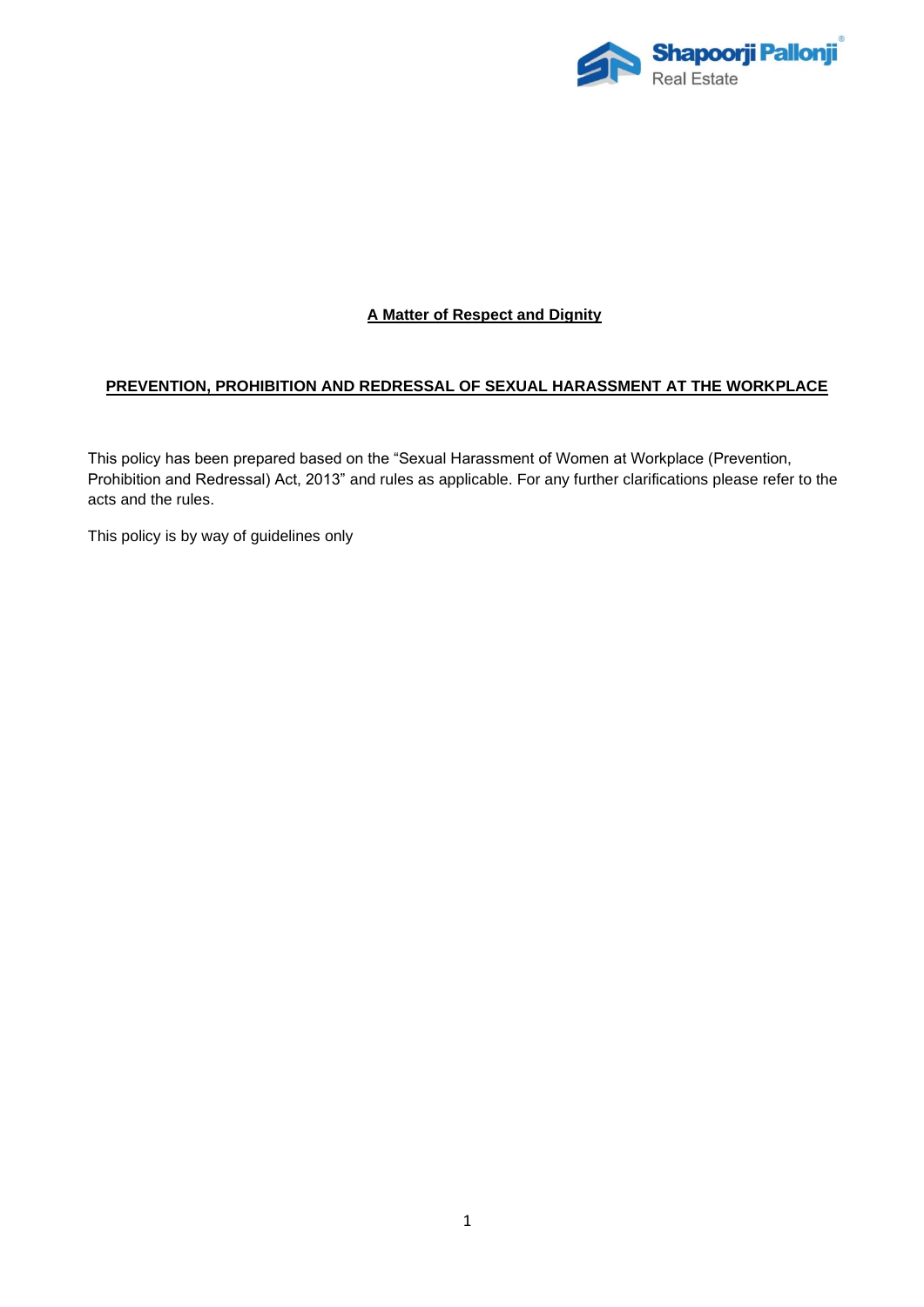

# **A Matter of Respect and Dignity**

# **PREVENTION, PROHIBITION AND REDRESSAL OF SEXUAL HARASSMENT AT THE WORKPLACE**

This policy has been prepared based on the "Sexual Harassment of Women at Workplace (Prevention, Prohibition and Redressal) Act, 2013" and rules as applicable. For any further clarifications please refer to the acts and the rules.

This policy is by way of guidelines only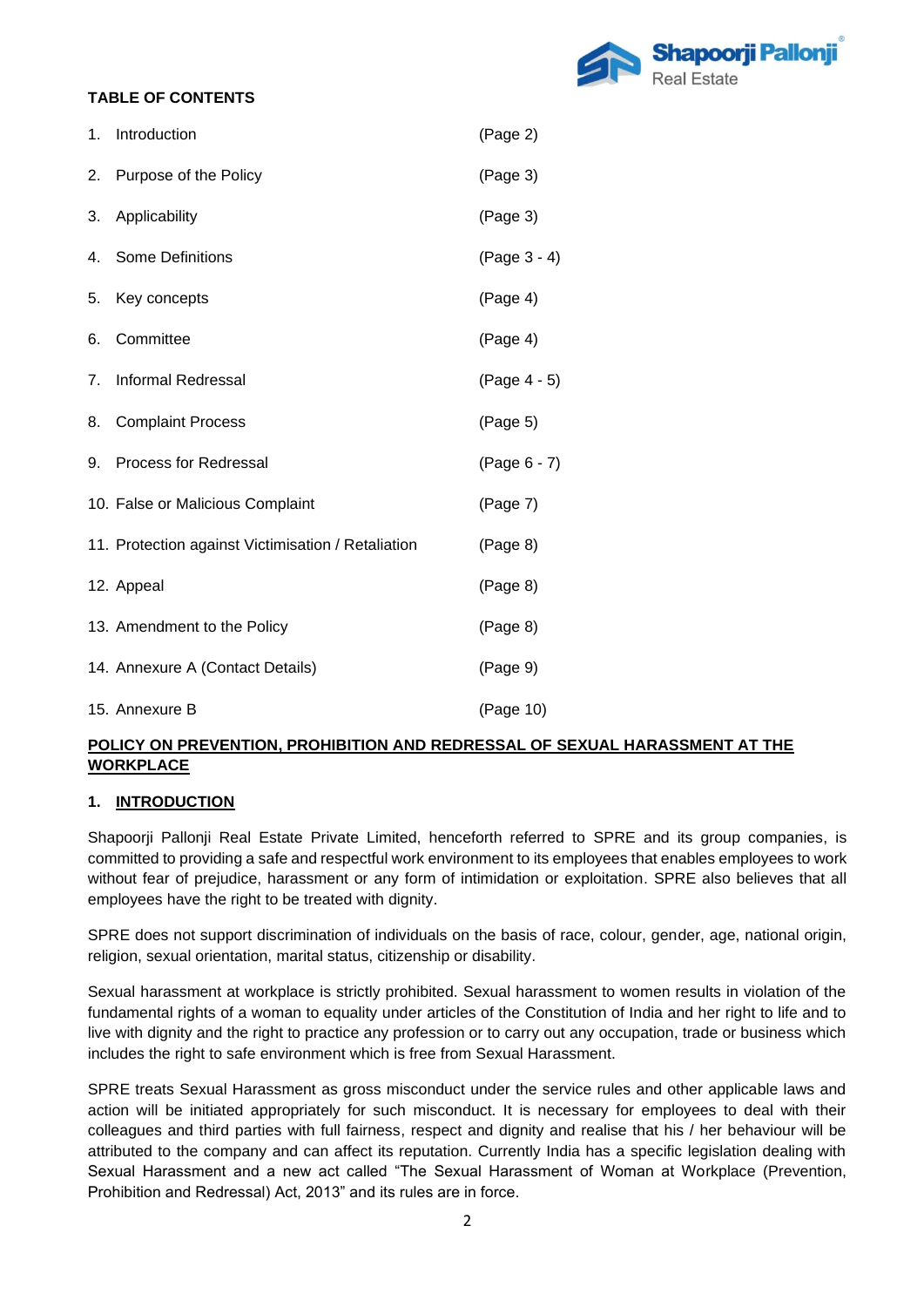

# **TABLE OF CONTENTS**

| 1.             | Introduction                                       | (Page 2)     |
|----------------|----------------------------------------------------|--------------|
| 2.             | Purpose of the Policy                              | (Page 3)     |
| 3.             | Applicability                                      | (Page 3)     |
| 4.             | Some Definitions                                   | (Page 3 - 4) |
| 5.             | Key concepts                                       | (Page 4)     |
| 6.             | Committee                                          | (Page 4)     |
| 7 <sub>1</sub> | <b>Informal Redressal</b>                          | (Page 4 - 5) |
| 8.             | <b>Complaint Process</b>                           | (Page 5)     |
| 9.             | <b>Process for Redressal</b>                       | (Page 6 - 7) |
|                | 10. False or Malicious Complaint                   | (Page 7)     |
|                | 11. Protection against Victimisation / Retaliation | (Page 8)     |
|                | 12. Appeal                                         | (Page 8)     |
|                | 13. Amendment to the Policy                        | (Page 8)     |
|                | 14. Annexure A (Contact Details)                   | (Page 9)     |
|                | 15. Annexure B                                     | (Page 10)    |

## **POLICY ON PREVENTION, PROHIBITION AND REDRESSAL OF SEXUAL HARASSMENT AT THE WORKPLACE**

### **1. INTRODUCTION**

Shapoorji Pallonji Real Estate Private Limited, henceforth referred to SPRE and its group companies, is committed to providing a safe and respectful work environment to its employees that enables employees to work without fear of prejudice, harassment or any form of intimidation or exploitation. SPRE also believes that all employees have the right to be treated with dignity.

SPRE does not support discrimination of individuals on the basis of race, colour, gender, age, national origin, religion, sexual orientation, marital status, citizenship or disability.

Sexual harassment at workplace is strictly prohibited. Sexual harassment to women results in violation of the fundamental rights of a woman to equality under articles of the Constitution of India and her right to life and to live with dignity and the right to practice any profession or to carry out any occupation, trade or business which includes the right to safe environment which is free from Sexual Harassment.

SPRE treats Sexual Harassment as gross misconduct under the service rules and other applicable laws and action will be initiated appropriately for such misconduct. It is necessary for employees to deal with their colleagues and third parties with full fairness, respect and dignity and realise that his / her behaviour will be attributed to the company and can affect its reputation. Currently India has a specific legislation dealing with Sexual Harassment and a new act called "The Sexual Harassment of Woman at Workplace (Prevention, Prohibition and Redressal) Act, 2013" and its rules are in force.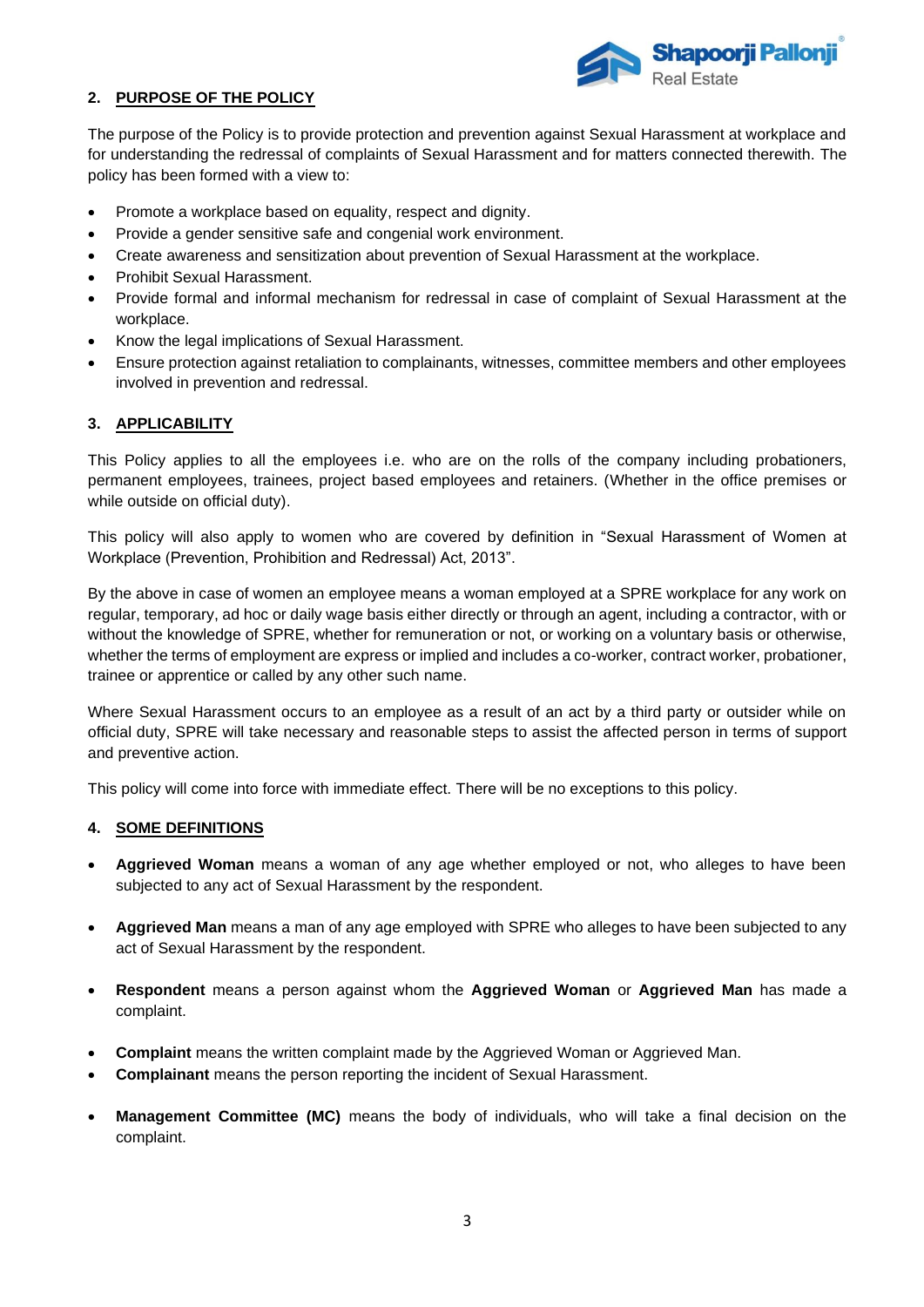

## **2. PURPOSE OF THE POLICY**

The purpose of the Policy is to provide protection and prevention against Sexual Harassment at workplace and for understanding the redressal of complaints of Sexual Harassment and for matters connected therewith. The policy has been formed with a view to:

- Promote a workplace based on equality, respect and dignity.
- Provide a gender sensitive safe and congenial work environment.
- Create awareness and sensitization about prevention of Sexual Harassment at the workplace.
- Prohibit Sexual Harassment.
- Provide formal and informal mechanism for redressal in case of complaint of Sexual Harassment at the workplace.
- Know the legal implications of Sexual Harassment.
- Ensure protection against retaliation to complainants, witnesses, committee members and other employees involved in prevention and redressal.

#### **3. APPLICABILITY**

This Policy applies to all the employees i.e. who are on the rolls of the company including probationers, permanent employees, trainees, project based employees and retainers. (Whether in the office premises or while outside on official duty).

This policy will also apply to women who are covered by definition in "Sexual Harassment of Women at Workplace (Prevention, Prohibition and Redressal) Act, 2013".

By the above in case of women an employee means a woman employed at a SPRE workplace for any work on regular, temporary, ad hoc or daily wage basis either directly or through an agent, including a contractor, with or without the knowledge of SPRE, whether for remuneration or not, or working on a voluntary basis or otherwise, whether the terms of employment are express or implied and includes a co-worker, contract worker, probationer, trainee or apprentice or called by any other such name.

Where Sexual Harassment occurs to an employee as a result of an act by a third party or outsider while on official duty, SPRE will take necessary and reasonable steps to assist the affected person in terms of support and preventive action.

This policy will come into force with immediate effect. There will be no exceptions to this policy.

#### **4. SOME DEFINITIONS**

- **Aggrieved Woman** means a woman of any age whether employed or not, who alleges to have been subjected to any act of Sexual Harassment by the respondent.
- **Aggrieved Man** means a man of any age employed with SPRE who alleges to have been subjected to any act of Sexual Harassment by the respondent.
- **Respondent** means a person against whom the **Aggrieved Woman** or **Aggrieved Man** has made a complaint.
- **Complaint** means the written complaint made by the Aggrieved Woman or Aggrieved Man.
- **Complainant** means the person reporting the incident of Sexual Harassment.
- **Management Committee (MC)** means the body of individuals, who will take a final decision on the complaint.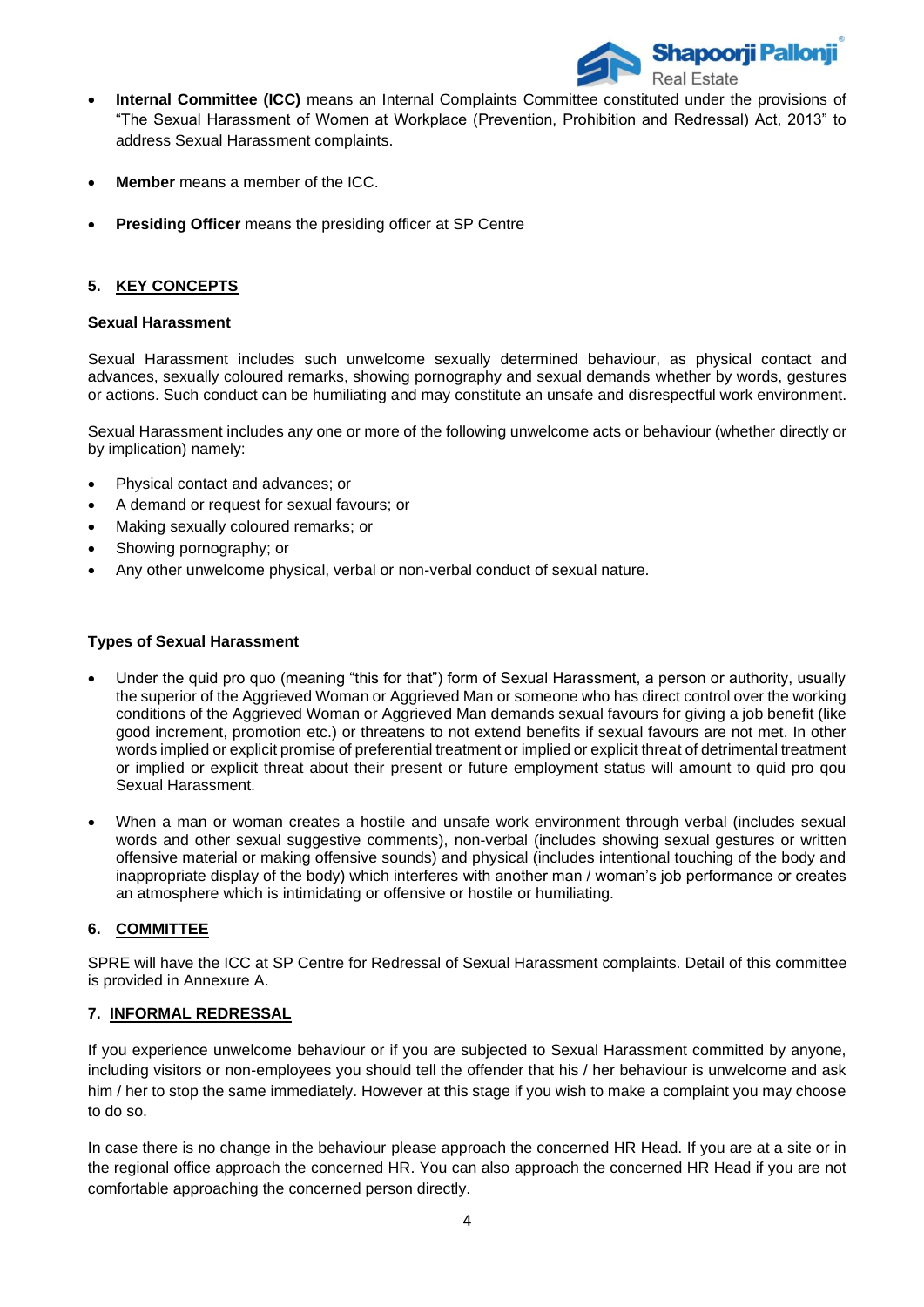

- **Internal Committee (ICC)** means an Internal Complaints Committee constituted under the provisions of "The Sexual Harassment of Women at Workplace (Prevention, Prohibition and Redressal) Act, 2013" to address Sexual Harassment complaints.
- **Member** means a member of the ICC.
- **Presiding Officer** means the presiding officer at SP Centre

# **5. KEY CONCEPTS**

#### **Sexual Harassment**

Sexual Harassment includes such unwelcome sexually determined behaviour, as physical contact and advances, sexually coloured remarks, showing pornography and sexual demands whether by words, gestures or actions. Such conduct can be humiliating and may constitute an unsafe and disrespectful work environment.

Sexual Harassment includes any one or more of the following unwelcome acts or behaviour (whether directly or by implication) namely:

- Physical contact and advances; or
- A demand or request for sexual favours; or
- Making sexually coloured remarks; or
- Showing pornography; or
- Any other unwelcome physical, verbal or non-verbal conduct of sexual nature.

### **Types of Sexual Harassment**

- Under the quid pro quo (meaning "this for that") form of Sexual Harassment, a person or authority, usually the superior of the Aggrieved Woman or Aggrieved Man or someone who has direct control over the working conditions of the Aggrieved Woman or Aggrieved Man demands sexual favours for giving a job benefit (like good increment, promotion etc.) or threatens to not extend benefits if sexual favours are not met. In other words implied or explicit promise of preferential treatment or implied or explicit threat of detrimental treatment or implied or explicit threat about their present or future employment status will amount to quid pro qou Sexual Harassment.
- When a man or woman creates a hostile and unsafe work environment through verbal (includes sexual words and other sexual suggestive comments), non-verbal (includes showing sexual gestures or written offensive material or making offensive sounds) and physical (includes intentional touching of the body and inappropriate display of the body) which interferes with another man / woman's job performance or creates an atmosphere which is intimidating or offensive or hostile or humiliating.

### **6. COMMITTEE**

SPRE will have the ICC at SP Centre for Redressal of Sexual Harassment complaints. Detail of this committee is provided in Annexure A.

### **7. INFORMAL REDRESSAL**

If you experience unwelcome behaviour or if you are subjected to Sexual Harassment committed by anyone, including visitors or non-employees you should tell the offender that his / her behaviour is unwelcome and ask him / her to stop the same immediately. However at this stage if you wish to make a complaint you may choose to do so.

In case there is no change in the behaviour please approach the concerned HR Head. If you are at a site or in the regional office approach the concerned HR. You can also approach the concerned HR Head if you are not comfortable approaching the concerned person directly.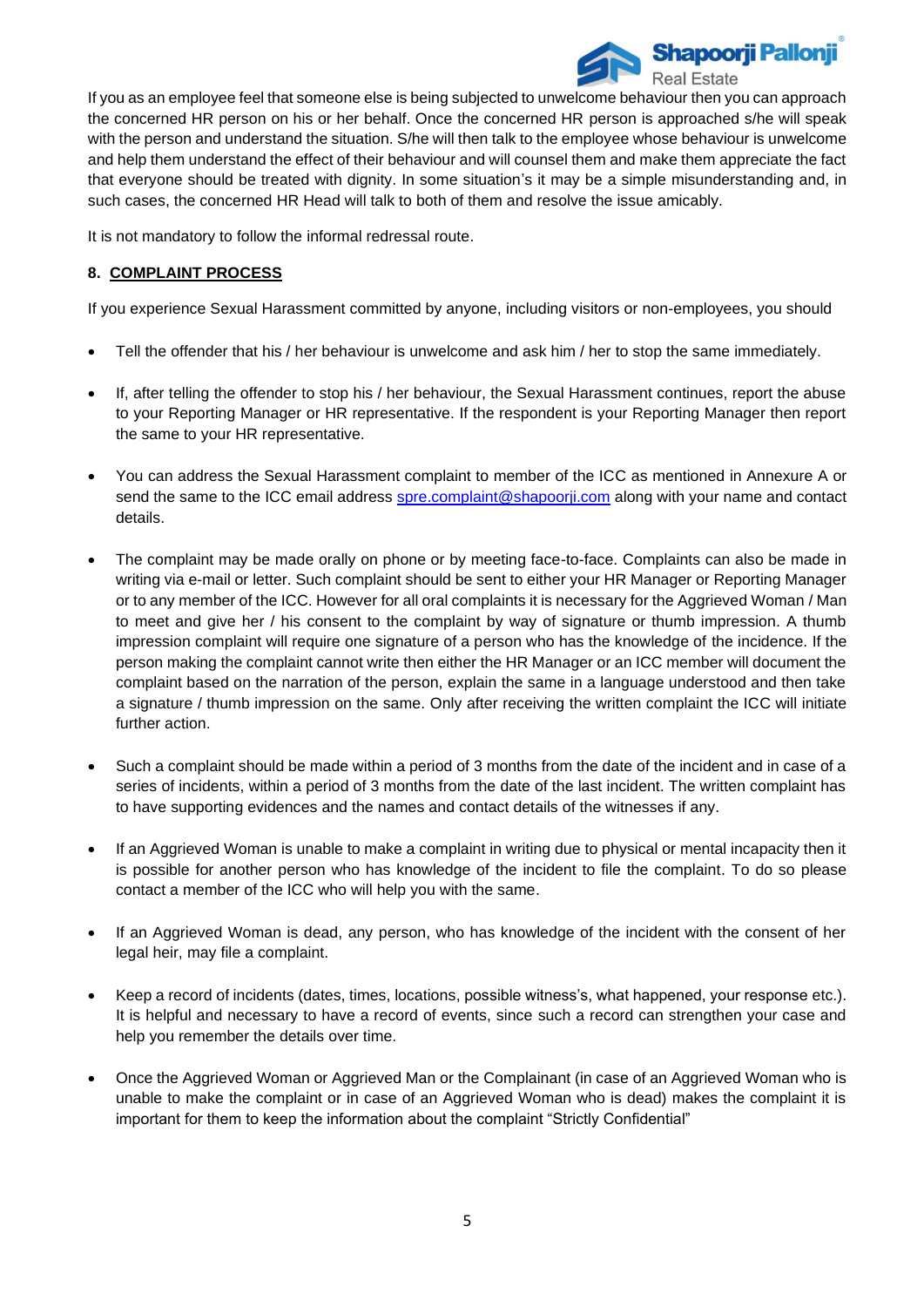

If you as an employee feel that someone else is being subjected to unwelcome behaviour then you can approach the concerned HR person on his or her behalf. Once the concerned HR person is approached s/he will speak with the person and understand the situation. S/he will then talk to the employee whose behaviour is unwelcome and help them understand the effect of their behaviour and will counsel them and make them appreciate the fact that everyone should be treated with dignity. In some situation's it may be a simple misunderstanding and, in such cases, the concerned HR Head will talk to both of them and resolve the issue amicably.

It is not mandatory to follow the informal redressal route.

## **8. COMPLAINT PROCESS**

If you experience Sexual Harassment committed by anyone, including visitors or non-employees, you should

- Tell the offender that his / her behaviour is unwelcome and ask him / her to stop the same immediately.
- If, after telling the offender to stop his / her behaviour, the Sexual Harassment continues, report the abuse to your Reporting Manager or HR representative. If the respondent is your Reporting Manager then report the same to your HR representative.
- You can address the Sexual Harassment complaint to member of the ICC as mentioned in Annexure A or send the same to the ICC email address [spre.complaint@shapoorji.com](mailto:spre.complaint@shapoorji.com) along with your name and contact details.
- The complaint may be made orally on phone or by meeting face-to-face. Complaints can also be made in writing via e-mail or letter. Such complaint should be sent to either your HR Manager or Reporting Manager or to any member of the ICC. However for all oral complaints it is necessary for the Aggrieved Woman / Man to meet and give her / his consent to the complaint by way of signature or thumb impression. A thumb impression complaint will require one signature of a person who has the knowledge of the incidence. If the person making the complaint cannot write then either the HR Manager or an ICC member will document the complaint based on the narration of the person, explain the same in a language understood and then take a signature / thumb impression on the same. Only after receiving the written complaint the ICC will initiate further action.
- Such a complaint should be made within a period of 3 months from the date of the incident and in case of a series of incidents, within a period of 3 months from the date of the last incident. The written complaint has to have supporting evidences and the names and contact details of the witnesses if any.
- If an Aggrieved Woman is unable to make a complaint in writing due to physical or mental incapacity then it is possible for another person who has knowledge of the incident to file the complaint. To do so please contact a member of the ICC who will help you with the same.
- If an Aggrieved Woman is dead, any person, who has knowledge of the incident with the consent of her legal heir, may file a complaint.
- Keep a record of incidents (dates, times, locations, possible witness's, what happened, your response etc.). It is helpful and necessary to have a record of events, since such a record can strengthen your case and help you remember the details over time.
- Once the Aggrieved Woman or Aggrieved Man or the Complainant (in case of an Aggrieved Woman who is unable to make the complaint or in case of an Aggrieved Woman who is dead) makes the complaint it is important for them to keep the information about the complaint "Strictly Confidential"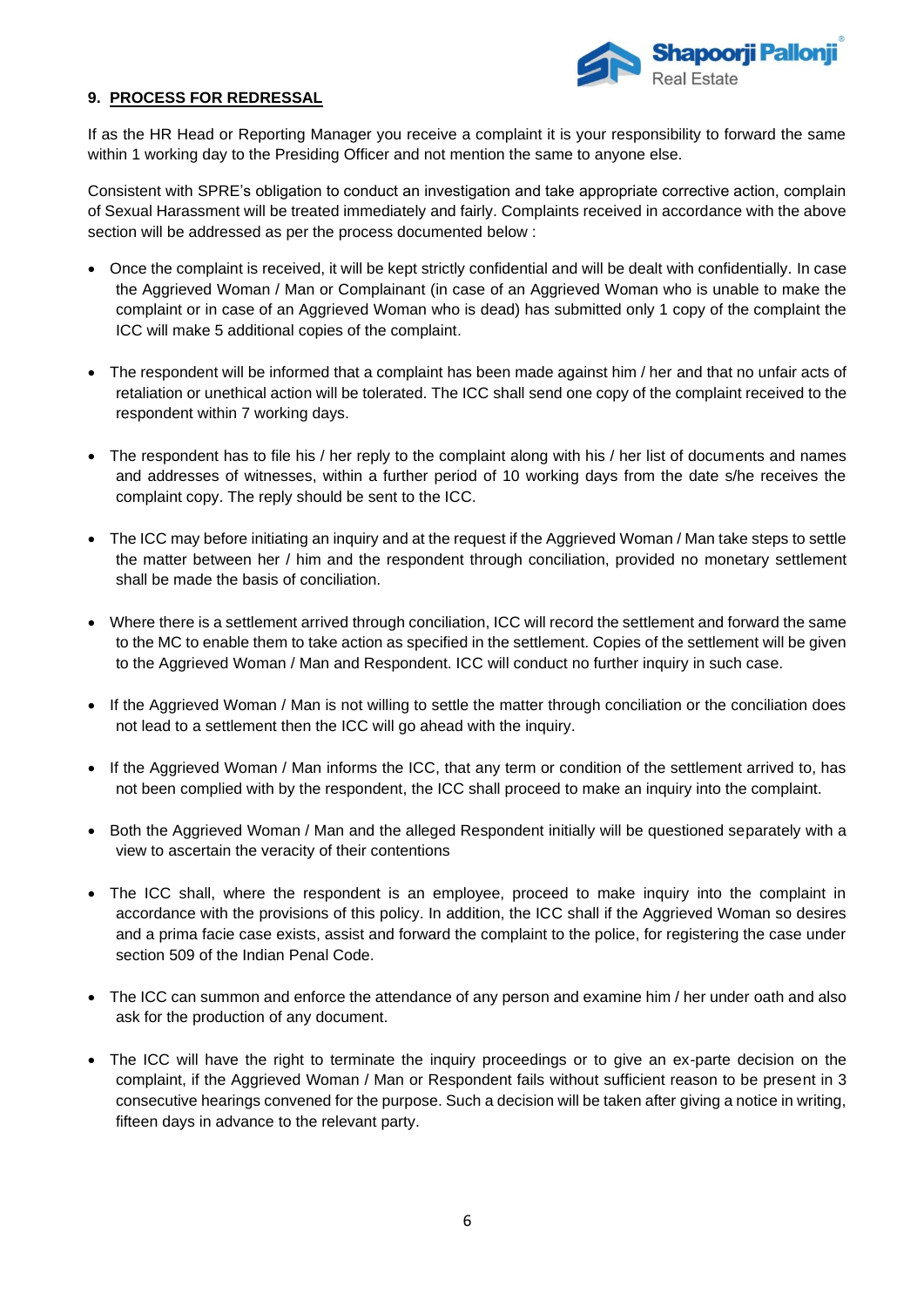

## **9. PROCESS FOR REDRESSAL**

If as the HR Head or Reporting Manager you receive a complaint it is your responsibility to forward the same within 1 working day to the Presiding Officer and not mention the same to anyone else.

Consistent with SPRE's obligation to conduct an investigation and take appropriate corrective action, complain of Sexual Harassment will be treated immediately and fairly. Complaints received in accordance with the above section will be addressed as per the process documented below :

- Once the complaint is received, it will be kept strictly confidential and will be dealt with confidentially. In case the Aggrieved Woman / Man or Complainant (in case of an Aggrieved Woman who is unable to make the complaint or in case of an Aggrieved Woman who is dead) has submitted only 1 copy of the complaint the ICC will make 5 additional copies of the complaint.
- The respondent will be informed that a complaint has been made against him / her and that no unfair acts of retaliation or unethical action will be tolerated. The ICC shall send one copy of the complaint received to the respondent within 7 working days.
- The respondent has to file his / her reply to the complaint along with his / her list of documents and names and addresses of witnesses, within a further period of 10 working days from the date s/he receives the complaint copy. The reply should be sent to the ICC.
- The ICC may before initiating an inquiry and at the request if the Aggrieved Woman / Man take steps to settle the matter between her / him and the respondent through conciliation, provided no monetary settlement shall be made the basis of conciliation.
- Where there is a settlement arrived through conciliation, ICC will record the settlement and forward the same to the MC to enable them to take action as specified in the settlement. Copies of the settlement will be given to the Aggrieved Woman / Man and Respondent. ICC will conduct no further inquiry in such case.
- If the Aggrieved Woman / Man is not willing to settle the matter through conciliation or the conciliation does not lead to a settlement then the ICC will go ahead with the inquiry.
- If the Aggrieved Woman / Man informs the ICC, that any term or condition of the settlement arrived to, has not been complied with by the respondent, the ICC shall proceed to make an inquiry into the complaint.
- Both the Aggrieved Woman / Man and the alleged Respondent initially will be questioned separately with a view to ascertain the veracity of their contentions
- The ICC shall, where the respondent is an employee, proceed to make inquiry into the complaint in accordance with the provisions of this policy. In addition, the ICC shall if the Aggrieved Woman so desires and a prima facie case exists, assist and forward the complaint to the police, for registering the case under section 509 of the Indian Penal Code.
- The ICC can summon and enforce the attendance of any person and examine him / her under oath and also ask for the production of any document.
- The ICC will have the right to terminate the inquiry proceedings or to give an ex-parte decision on the complaint, if the Aggrieved Woman / Man or Respondent fails without sufficient reason to be present in 3 consecutive hearings convened for the purpose. Such a decision will be taken after giving a notice in writing, fifteen days in advance to the relevant party.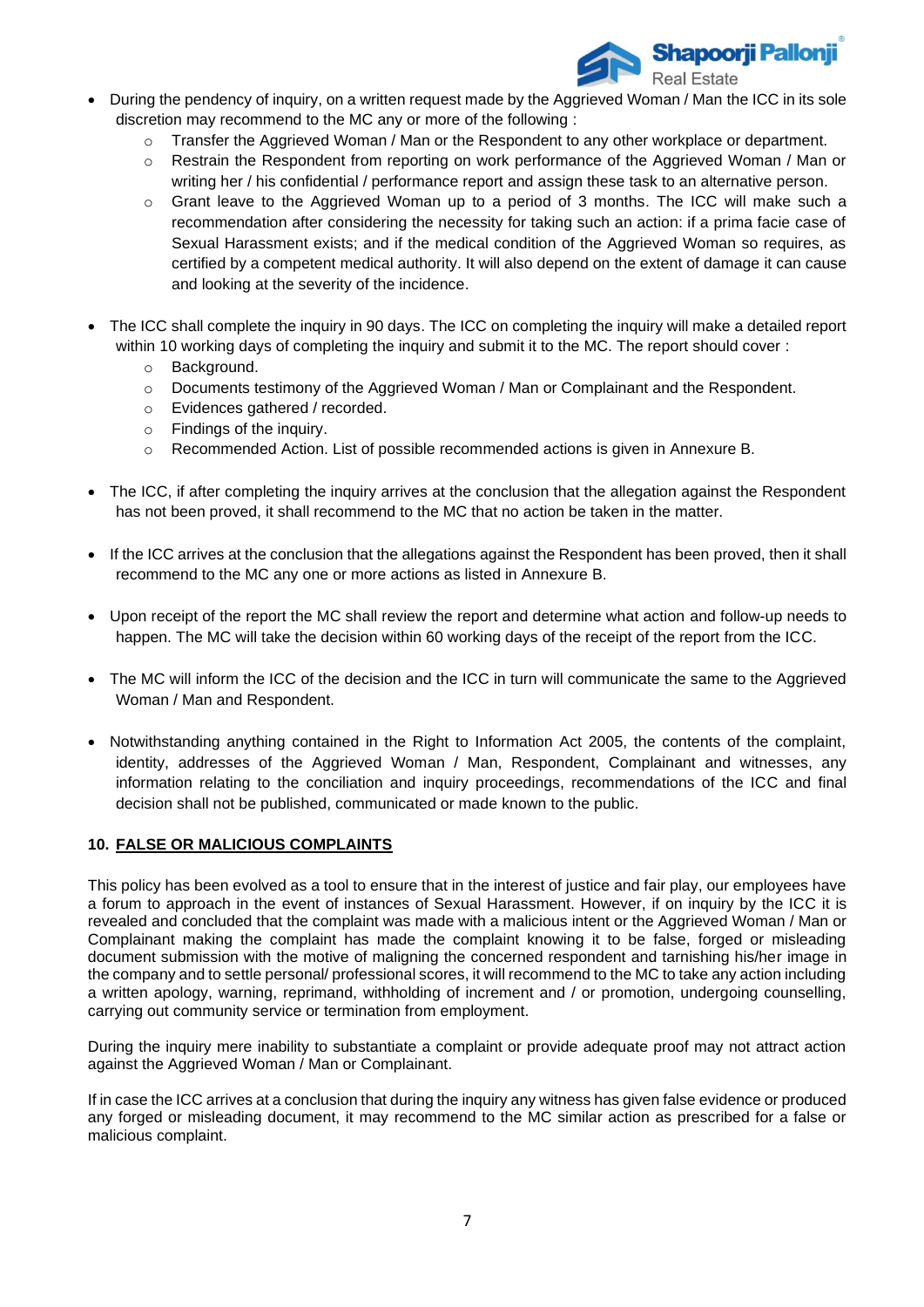

- During the pendency of inquiry, on a written request made by the Aggrieved Woman / Man the ICC in its sole discretion may recommend to the MC any or more of the following :
	- $\circ$  Transfer the Aggrieved Woman / Man or the Respondent to any other workplace or department.
	- o Restrain the Respondent from reporting on work performance of the Aggrieved Woman / Man or writing her / his confidential / performance report and assign these task to an alternative person.
	- $\circ$  Grant leave to the Aggrieved Woman up to a period of 3 months. The ICC will make such a recommendation after considering the necessity for taking such an action: if a prima facie case of Sexual Harassment exists; and if the medical condition of the Aggrieved Woman so requires, as certified by a competent medical authority. It will also depend on the extent of damage it can cause and looking at the severity of the incidence.
- The ICC shall complete the inquiry in 90 days. The ICC on completing the inquiry will make a detailed report within 10 working days of completing the inquiry and submit it to the MC. The report should cover :
	- o Background.
	- $\circ$  Documents testimony of the Aggrieved Woman / Man or Complainant and the Respondent.
	- o Evidences gathered / recorded.
	- o Findings of the inquiry.
	- o Recommended Action. List of possible recommended actions is given in Annexure B.
- The ICC, if after completing the inquiry arrives at the conclusion that the allegation against the Respondent has not been proved, it shall recommend to the MC that no action be taken in the matter.
- If the ICC arrives at the conclusion that the allegations against the Respondent has been proved, then it shall recommend to the MC any one or more actions as listed in Annexure B.
- Upon receipt of the report the MC shall review the report and determine what action and follow-up needs to happen. The MC will take the decision within 60 working days of the receipt of the report from the ICC.
- The MC will inform the ICC of the decision and the ICC in turn will communicate the same to the Aggrieved Woman / Man and Respondent.
- Notwithstanding anything contained in the Right to Information Act 2005, the contents of the complaint, identity, addresses of the Aggrieved Woman / Man, Respondent, Complainant and witnesses, any information relating to the conciliation and inquiry proceedings, recommendations of the ICC and final decision shall not be published, communicated or made known to the public.

#### **10. FALSE OR MALICIOUS COMPLAINTS**

This policy has been evolved as a tool to ensure that in the interest of justice and fair play, our employees have a forum to approach in the event of instances of Sexual Harassment. However, if on inquiry by the ICC it is revealed and concluded that the complaint was made with a malicious intent or the Aggrieved Woman / Man or Complainant making the complaint has made the complaint knowing it to be false, forged or misleading document submission with the motive of maligning the concerned respondent and tarnishing his/her image in the company and to settle personal/ professional scores, it will recommend to the MC to take any action including a written apology, warning, reprimand, withholding of increment and / or promotion, undergoing counselling, carrying out community service or termination from employment.

During the inquiry mere inability to substantiate a complaint or provide adequate proof may not attract action against the Aggrieved Woman / Man or Complainant.

If in case the ICC arrives at a conclusion that during the inquiry any witness has given false evidence or produced any forged or misleading document, it may recommend to the MC similar action as prescribed for a false or malicious complaint.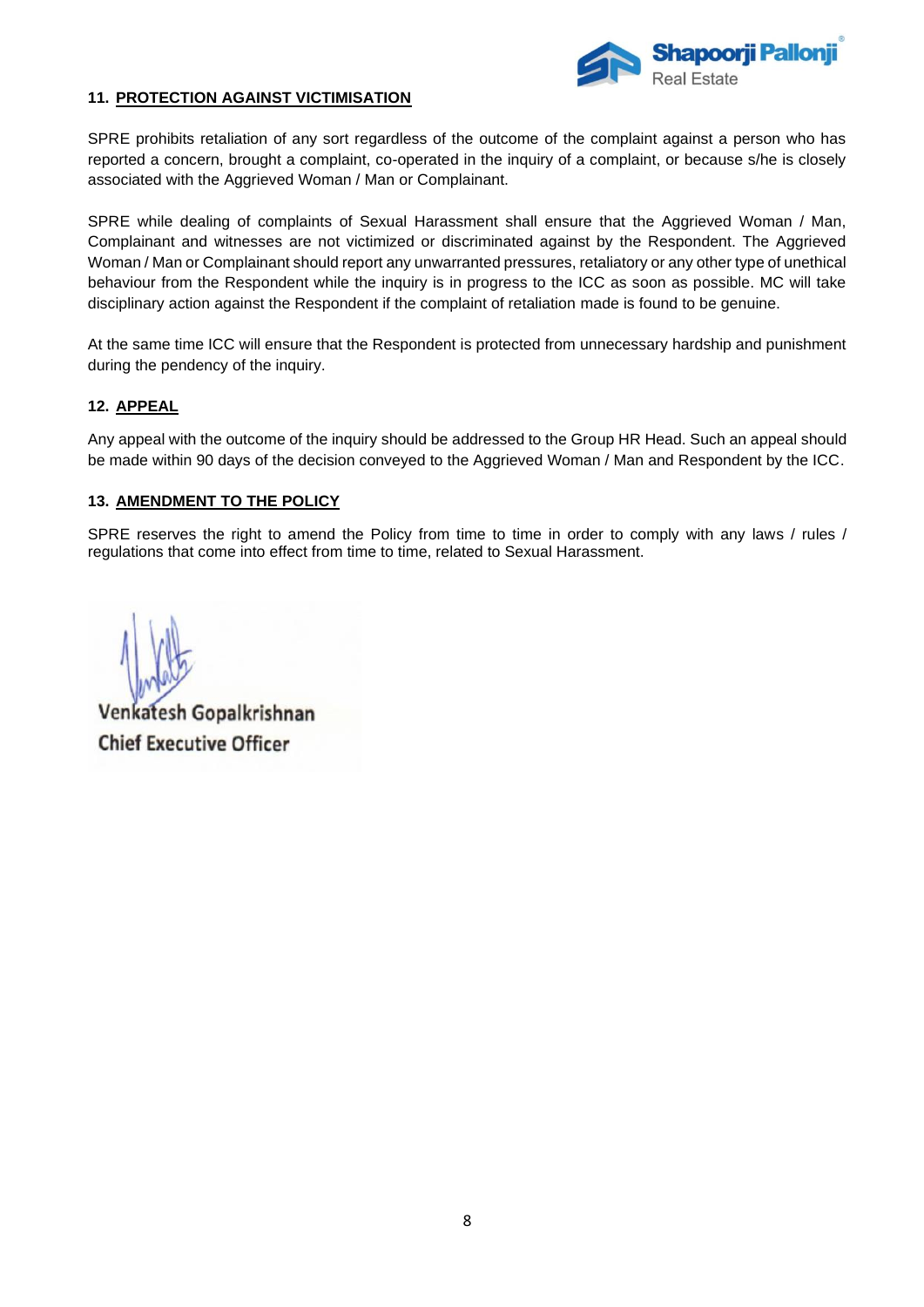

## **11. PROTECTION AGAINST VICTIMISATION**

SPRE prohibits retaliation of any sort regardless of the outcome of the complaint against a person who has reported a concern, brought a complaint, co-operated in the inquiry of a complaint, or because s/he is closely associated with the Aggrieved Woman / Man or Complainant.

SPRE while dealing of complaints of Sexual Harassment shall ensure that the Aggrieved Woman / Man, Complainant and witnesses are not victimized or discriminated against by the Respondent. The Aggrieved Woman / Man or Complainant should report any unwarranted pressures, retaliatory or any other type of unethical behaviour from the Respondent while the inquiry is in progress to the ICC as soon as possible. MC will take disciplinary action against the Respondent if the complaint of retaliation made is found to be genuine.

At the same time ICC will ensure that the Respondent is protected from unnecessary hardship and punishment during the pendency of the inquiry.

## **12. APPEAL**

Any appeal with the outcome of the inquiry should be addressed to the Group HR Head. Such an appeal should be made within 90 days of the decision conveyed to the Aggrieved Woman / Man and Respondent by the ICC.

### **13. AMENDMENT TO THE POLICY**

SPRE reserves the right to amend the Policy from time to time in order to comply with any laws / rules / regulations that come into effect from time to time, related to Sexual Harassment.

Venkatesh Gopalkrishnan **Chief Executive Officer**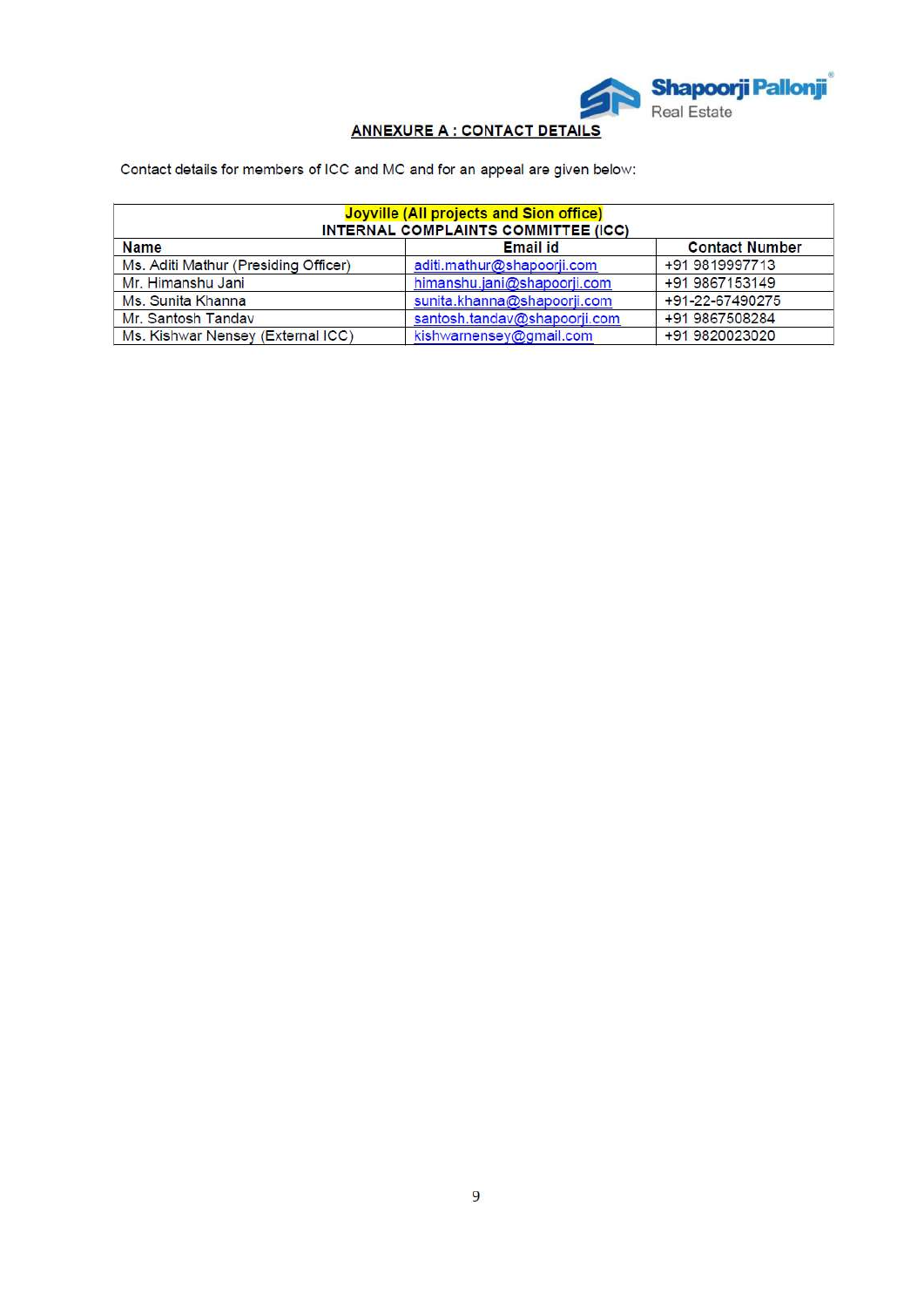

# **ANNEXURE A : CONTACT DETAILS**

Contact details for members of ICC and MC and for an appeal are given below:

| Joyville (All projects and Sion office)<br>INTERNAL COMPLAINTS COMMITTEE (ICC) |                              |                       |  |  |
|--------------------------------------------------------------------------------|------------------------------|-----------------------|--|--|
| <b>Name</b>                                                                    | <b>Email id</b>              | <b>Contact Number</b> |  |  |
| Ms. Aditi Mathur (Presiding Officer)                                           | aditi.mathur@shapoorji.com   | +91 9819997713        |  |  |
| Mr. Himanshu Jani                                                              | himanshu.jani@shapoorji.com  | +91 9867153149        |  |  |
| Ms. Sunita Khanna                                                              | sunita.khanna@shapoorji.com  | +91-22-67490275       |  |  |
| Mr. Santosh Tanday                                                             | santosh.tandav@shapoorji.com | +91 9867508284        |  |  |
| Ms. Kishwar Nensey (External ICC)                                              | kishwarnensey@gmail.com      | +91 9820023020        |  |  |